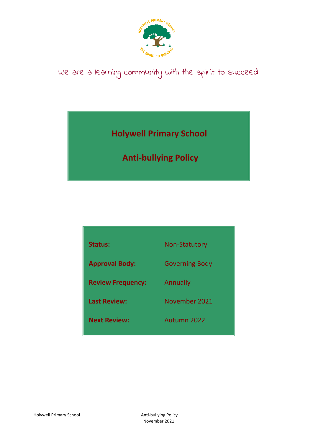

# We are a learning community with the spirit to succeed

### **Holywell Primary School**

## **Anti-bullying Policy**

| <b>Status:</b>           | <b>Non-Statutory</b>  |
|--------------------------|-----------------------|
|                          |                       |
| <b>Approval Body:</b>    | <b>Governing Body</b> |
|                          |                       |
| <b>Review Frequency:</b> | Annually              |
| <b>Last Review:</b>      | November 2021         |
|                          |                       |
| <b>Next Review:</b>      | Autumn 2022           |
|                          |                       |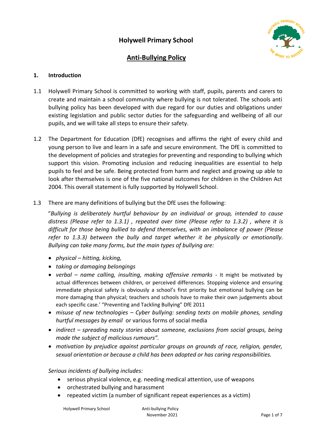

### **Anti-Bullying Policy**

#### **1. Introduction**

- 1.1 Holywell Primary School is committed to working with staff, pupils, parents and carers to create and maintain a school community where bullying is not tolerated. The schools anti bullying policy has been developed with due regard for our duties and obligations under existing legislation and public sector duties for the safeguarding and wellbeing of all our pupils, and we will take all steps to ensure their safety.
- 1.2 The Department for Education (DfE) recognises and affirms the right of every child and young person to live and learn in a safe and secure environment. The DfE is committed to the development of policies and strategies for preventing and responding to bullying which support this vision. Promoting inclusion and reducing inequalities are essential to help pupils to feel and be safe. Being protected from harm and neglect and growing up able to look after themselves is one of the five national outcomes for children in the Children Act 2004. This overall statement is fully supported by Holywell School.
- 1.3 There are many definitions of bullying but the DfE uses the following:

"*Bullying is deliberately hurtful behaviour by an individual or group, intended to cause distress (Please refer to 1.3.1) , repeated over time (Please refer to 1.3.2) , where it is difficult for those being bullied to defend themselves, with an imbalance of power (Please refer to 1.3.3) between the bully and target whether it be physically or emotionally. Bullying can take many forms, but the main types of bullying are:* 

- *physical – hitting, kicking,*
- *taking or damaging belongings*
- *verbal – name calling, insulting, making offensive remarks -* It might be motivated by actual differences between children, or perceived differences. Stopping violence and ensuring immediate physical safety is obviously a school's first priority but emotional bullying can be more damaging than physical; teachers and schools have to make their own judgements about each specific case.' "Preventing and Tackling Bullying" DfE 2011
- *misuse of new technologies – Cyber bullying: sending texts on mobile phones, sending hurtful messages by email* or various forms of social media
- *indirect – spreading nasty stories about someone, exclusions from social groups, being made the subject of malicious rumours".*
- *motivation by prejudice against particular groups on grounds of race, religion, gender, sexual orientation or because a child has been adopted or has caring responsibilities.*

#### *Serious incidents of bullying includes:*

- serious physical violence, e.g. needing medical attention, use of weapons
- orchestrated bullying and harassment
- repeated victim (a number of significant repeat experiences as a victim)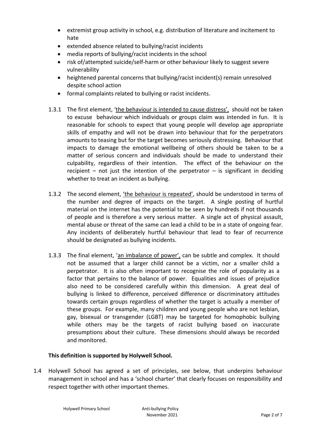- extremist group activity in school, e.g. distribution of literature and incitement to hate
- extended absence related to bullying/racist incidents
- media reports of bullying/racist incidents in the school
- risk of/attempted suicide/self-harm or other behaviour likely to suggest severe vulnerability
- heightened parental concerns that bullying/racist incident(s) remain unresolved despite school action
- formal complaints related to bullying or racist incidents.
- 1.3.1 The first element, 'the behaviour is intended to cause distress', should not be taken to excuse behaviour which individuals or groups claim was intended in fun. It is reasonable for schools to expect that young people will develop age appropriate skills of empathy and will not be drawn into behaviour that for the perpetrators amounts to teasing but for the target becomes seriously distressing. Behaviour that impacts to damage the emotional wellbeing of others should be taken to be a matter of serious concern and individuals should be made to understand their culpability, regardless of their intention. The effect of the behaviour on the recipient – not just the intention of the perpetrator – is significant in deciding whether to treat an incident as bullying.
- 1.3.2 The second element, 'the behaviour is repeated', should be understood in terms of the number and degree of impacts on the target. A single posting of hurtful material on the internet has the potential to be seen by hundreds if not thousands of people and is therefore a very serious matter. A single act of physical assault, mental abuse or threat of the same can lead a child to be in a state of ongoing fear. Any incidents of deliberately hurtful behaviour that lead to fear of recurrence should be designated as bullying incidents.
- 1.3.3 The final element, 'an imbalance of power', can be subtle and complex. It should not be assumed that a larger child cannot be a victim, nor a smaller child a perpetrator. It is also often important to recognise the role of popularity as a factor that pertains to the balance of power. Equalities and issues of prejudice also need to be considered carefully within this dimension. A great deal of bullying is linked to difference, perceived difference or discriminatory attitudes towards certain groups regardless of whether the target is actually a member of these groups. For example, many children and young people who are not lesbian, gay, bisexual or transgender (LGBT) may be targeted for homophobic bullying while others may be the targets of racist bullying based on inaccurate presumptions about their culture. These dimensions should always be recorded and monitored.

#### **This definition is supported by Holywell School.**

1.4 Holywell School has agreed a set of principles, see below, that underpins behaviour management in school and has a 'school charter' that clearly focuses on responsibility and respect together with other important themes.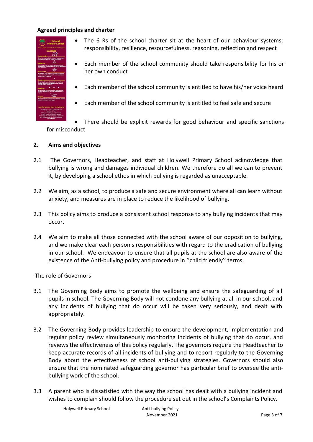#### **Agreed principles and charter**



- The 6 Rs of the school charter sit at the heart of our behaviour systems; responsibility, resilience, resourcefulness, reasoning, reflection and respect
- Each member of the school community should take responsibility for his or her own conduct
- Each member of the school community is entitled to have his/her voice heard
- Each member of the school community is entitled to feel safe and secure

 There should be explicit rewards for good behaviour and specific sanctions for misconduct

#### **2. Aims and objectives**

- 2.1 The Governors, Headteacher, and staff at Holywell Primary School acknowledge that bullying is wrong and damages individual children. We therefore do all we can to prevent it, by developing a school ethos in which bullying is regarded as unacceptable.
- 2.2 We aim, as a school, to produce a safe and secure environment where all can learn without anxiety, and measures are in place to reduce the likelihood of bullying.
- 2.3 This policy aims to produce a consistent school response to any bullying incidents that may occur.
- 2.4 We aim to make all those connected with the school aware of our opposition to bullying, and we make clear each person's responsibilities with regard to the eradication of bullying in our school. We endeavour to ensure that all pupils at the school are also aware of the existence of the Anti-bullying policy and procedure in ''child friendly'' terms.

The role of Governors

- 3.1 The Governing Body aims to promote the wellbeing and ensure the safeguarding of all pupils in school. The Governing Body will not condone any bullying at all in our school, and any incidents of bullying that do occur will be taken very seriously, and dealt with appropriately.
- 3.2 The Governing Body provides leadership to ensure the development, implementation and regular policy review simultaneously monitoring incidents of bullying that do occur, and reviews the effectiveness of this policy regularly. The governors require the Headteacher to keep accurate records of all incidents of bullying and to report regularly to the Governing Body about the effectiveness of school anti-bullying strategies. Governors should also ensure that the nominated safeguarding governor has particular brief to oversee the antibullying work of the school.
- 3.3 A parent who is dissatisfied with the way the school has dealt with a bullying incident and wishes to complain should follow the procedure set out in the school's Complaints Policy.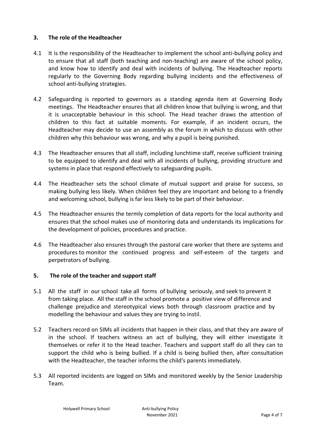#### **3. The role of the Headteacher**

- 4.1 It is the responsibility of the Headteacher to implement the school anti-bullying policy and to ensure that all staff (both teaching and non-teaching) are aware of the school policy, and know how to identify and deal with incidents of bullying. The Headteacher reports regularly to the Governing Body regarding bullying incidents and the effectiveness of school anti-bullying strategies.
- 4.2 Safeguarding is reported to governors as a standing agenda item at Governing Body meetings. The Headteacher ensures that all children know that bullying is wrong, and that it is unacceptable behaviour in this school. The Head teacher draws the attention of children to this fact at suitable moments. For example, if an incident occurs, the Headteacher may decide to use an assembly as the forum in which to discuss with other children why this behaviour was wrong, and why a pupil is being punished.
- 4.3 The Headteacher ensures that all staff, including lunchtime staff, receive sufficient training to be equipped to identify and deal with all incidents of bullying, providing structure and systems in place that respond effectively to safeguarding pupils.
- 4.4 The Headteacher sets the school climate of mutual support and praise for success, so making bullying less likely. When children feel they are important and belong to a friendly and welcoming school, bullying is far less likely to be part of their behaviour.
- 4.5 The Headteacher ensures the termly completion of data reports for the local authority and ensures that the school makes use of monitoring data and understands its implications for the development of policies, procedures and practice.
- 4.6 The Headteacher also ensures through the pastoral care worker that there are systems and procedures to monitor the continued progress and self-esteem of the targets and perpetrators of bullying.

#### **5. The role of the teacher and support staff**

- 5.1 All the staff in our school take all forms of bullying seriously, and seek to prevent it from taking place. All the staff in the school promote a positive view of difference and challenge prejudice and stereotypical views both through classroom practice and by modelling the behaviour and values they are trying to instil.
- 5.2 Teachers record on SIMs all incidents that happen in their class, and that they are aware of in the school. If teachers witness an act of bullying, they will either investigate it themselves or refer it to the Head teacher. Teachers and support staff do all they can to support the child who is being bullied. If a child is being bullied then, after consultation with the Headteacher, the teacher informs the child's parents immediately.
- 5.3 All reported incidents are logged on SIMs and monitored weekly by the Senior Leadership Team.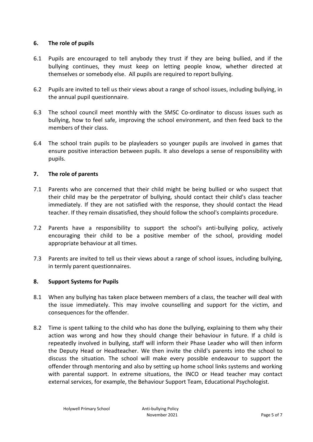#### **6. The role of pupils**

- 6.1 Pupils are encouraged to tell anybody they trust if they are being bullied, and if the bullying continues, they must keep on letting people know, whether directed at themselves or somebody else. All pupils are required to report bullying.
- 6.2 Pupils are invited to tell us their views about a range of school issues, including bullying, in the annual pupil questionnaire.
- 6.3 The school council meet monthly with the SMSC Co-ordinator to discuss issues such as bullying, how to feel safe, improving the school environment, and then feed back to the members of their class.
- 6.4 The school train pupils to be playleaders so younger pupils are involved in games that ensure positive interaction between pupils. It also develops a sense of responsibility with pupils.

#### **7. The role of parents**

- 7.1 Parents who are concerned that their child might be being bullied or who suspect that their child may be the perpetrator of bullying, should contact their child's class teacher immediately. If they are not satisfied with the response, they should contact the Head teacher. If they remain dissatisfied, they should follow the school's complaints procedure.
- 7.2 Parents have a responsibility to support the school's anti-bullying policy, actively encouraging their child to be a positive member of the school, providing model appropriate behaviour at all times.
- 7.3 Parents are invited to tell us their views about a range of school issues, including bullying, in termly parent questionnaires.

#### **8. Support Systems for Pupils**

- 8.1 When any bullying has taken place between members of a class, the teacher will deal with the issue immediately. This may involve counselling and support for the victim, and consequences for the offender.
- 8.2 Time is spent talking to the child who has done the bullying, explaining to them why their action was wrong and how they should change their behaviour in future. If a child is repeatedly involved in bullying, staff will inform their Phase Leader who will then inform the Deputy Head or Headteacher. We then invite the child's parents into the school to discuss the situation. The school will make every possible endeavour to support the offender through mentoring and also by setting up home school links systems and working with parental support. In extreme situations, the INCO or Head teacher may contact external services, for example, the Behaviour Support Team, Educational Psychologist.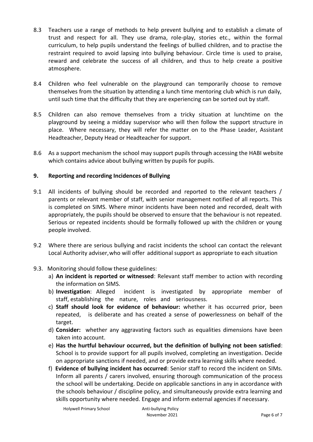- 8.3 Teachers use a range of methods to help prevent bullying and to establish a climate of trust and respect for all. They use drama, role-play, stories etc., within the formal curriculum, to help pupils understand the feelings of bullied children, and to practise the restraint required to avoid lapsing into bullying behaviour. Circle time is used to praise, reward and celebrate the success of all children, and thus to help create a positive atmosphere.
- 8.4 Children who feel vulnerable on the playground can temporarily choose to remove themselves from the situation by attending a lunch time mentoring club which is run daily, until such time that the difficulty that they are experiencing can be sorted out by staff.
- 8.5 Children can also remove themselves from a tricky situation at lunchtime on the playground by seeing a midday supervisor who will then follow the support structure in place. Where necessary, they will refer the matter on to the Phase Leader, Assistant Headteacher, Deputy Head or Headteacher for support.
- 8.6 As a support mechanism the school may support pupils through accessing the HABI website which contains advice about bullying written by pupils for pupils.

#### **9. Reporting and recording Incidences of Bullying**

- 9.1 All incidents of bullying should be recorded and reported to the relevant teachers / parents or relevant member of staff, with senior management notified of all reports. This is completed on SIMS. Where minor incidents have been noted and recorded, dealt with appropriately, the pupils should be observed to ensure that the behaviour is not repeated. Serious or repeated incidents should be formally followed up with the children or young people involved.
- 9.2 Where there are serious bullying and racist incidents the school can contact the relevant Local Authority adviser,who will offer additional support as appropriate to each situation

#### 9.3. Monitoring should follow these guidelines:

- a) **An incident is reported or witnessed**: Relevant staff member to action with recording the information on SIMS.
- b) **Investigation**: Alleged incident is investigated by appropriate member of staff, establishing the nature, roles and seriousness.
- c) **Staff should look for evidence of behaviour:** whether it has occurred prior, been repeated, is deliberate and has created a sense of powerlessness on behalf of the target.
- d) **Consider:** whether any aggravating factors such as equalities dimensions have been taken into account.
- e) **Has the hurtful behaviour occurred, but the definition of bullying not been satisfied**: School is to provide support for all pupils involved, completing an investigation. Decide on appropriate sanctions if needed, and or provide extra learning skills where needed.
- f) **Evidence of bullying incident has occurred**: Senior staff to record the incident on SIMs. Inform all parents / carers involved, ensuring thorough communication of the process the school will be undertaking. Decide on applicable sanctions in any in accordance with the schools behaviour / discipline policy, and simultaneously provide extra learning and skills opportunity where needed. Engage and inform external agencies if necessary.